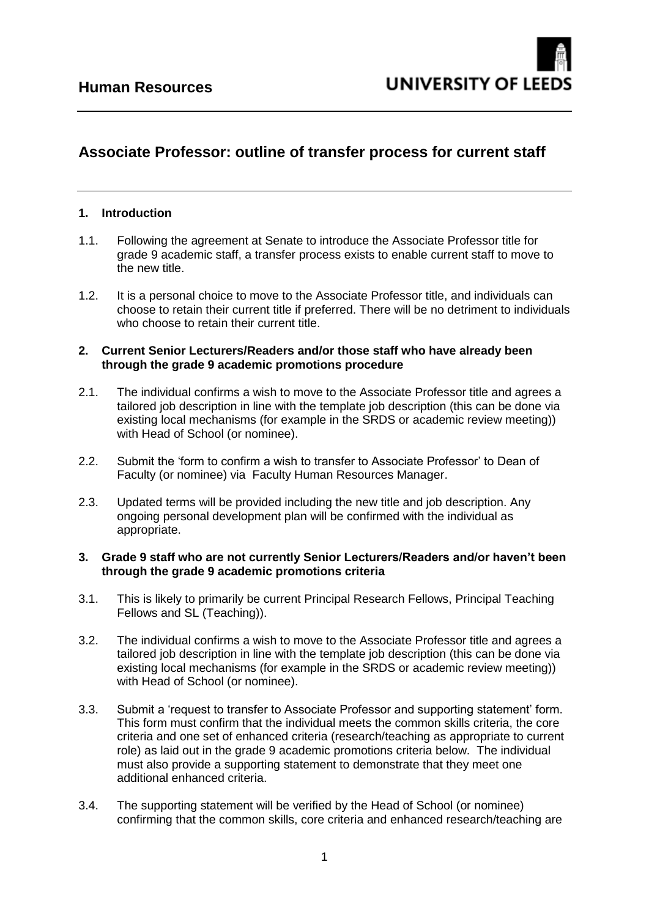## **Associate Professor: outline of transfer process for current staff**

## **1. Introduction**

- 1.1. Following the agreement at Senate to introduce the Associate Professor title for grade 9 academic staff, a transfer process exists to enable current staff to move to the new title.
- 1.2. It is a personal choice to move to the Associate Professor title, and individuals can choose to retain their current title if preferred. There will be no detriment to individuals who choose to retain their current title.

## **2. Current Senior Lecturers/Readers and/or those staff who have already been through the grade 9 academic promotions procedure**

- 2.1. The individual confirms a wish to move to the Associate Professor title and agrees a tailored job description in line with the template job description (this can be done via existing local mechanisms (for example in the SRDS or academic review meeting)) with Head of School (or nominee).
- 2.2. Submit the 'form to confirm a wish to transfer to Associate Professor' to Dean of Faculty (or nominee) via Faculty Human Resources Manager.
- 2.3. Updated terms will be provided including the new title and job description. Any ongoing personal development plan will be confirmed with the individual as appropriate.

## **3. Grade 9 staff who are not currently Senior Lecturers/Readers and/or haven't been through the grade 9 academic promotions criteria**

- 3.1. This is likely to primarily be current Principal Research Fellows, Principal Teaching Fellows and SL (Teaching)).
- 3.2. The individual confirms a wish to move to the Associate Professor title and agrees a tailored job description in line with the template job description (this can be done via existing local mechanisms (for example in the SRDS or academic review meeting)) with Head of School (or nominee).
- 3.3. Submit a 'request to transfer to Associate Professor and supporting statement' form. This form must confirm that the individual meets the common skills criteria, the core criteria and one set of enhanced criteria (research/teaching as appropriate to current role) as laid out in the grade 9 academic promotions criteria below. The individual must also provide a supporting statement to demonstrate that they meet one additional enhanced criteria.
- 3.4. The supporting statement will be verified by the Head of School (or nominee) confirming that the common skills, core criteria and enhanced research/teaching are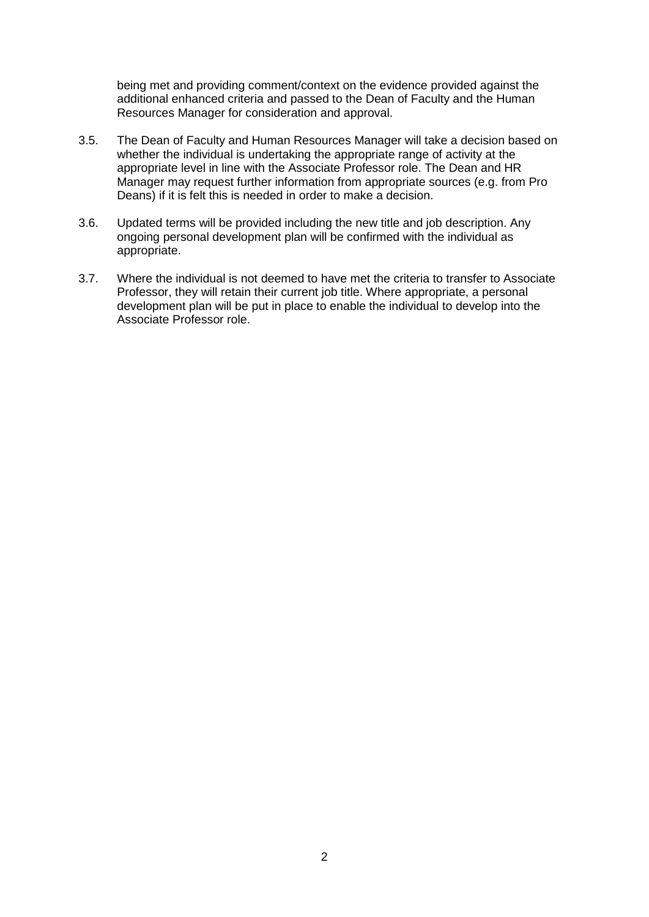being met and providing comment/context on the evidence provided against the additional enhanced criteria and passed to the Dean of Faculty and the Human Resources Manager for consideration and approval.

- 3.5. The Dean of Faculty and Human Resources Manager will take a decision based on whether the individual is undertaking the appropriate range of activity at the appropriate level in line with the Associate Professor role. The Dean and HR Manager may request further information from appropriate sources (e.g. from Pro Deans) if it is felt this is needed in order to make a decision.
- 3.6. Updated terms will be provided including the new title and job description. Any ongoing personal development plan will be confirmed with the individual as appropriate.
- 3.7. Where the individual is not deemed to have met the criteria to transfer to Associate Professor, they will retain their current job title. Where appropriate, a personal development plan will be put in place to enable the individual to develop into the Associate Professor role.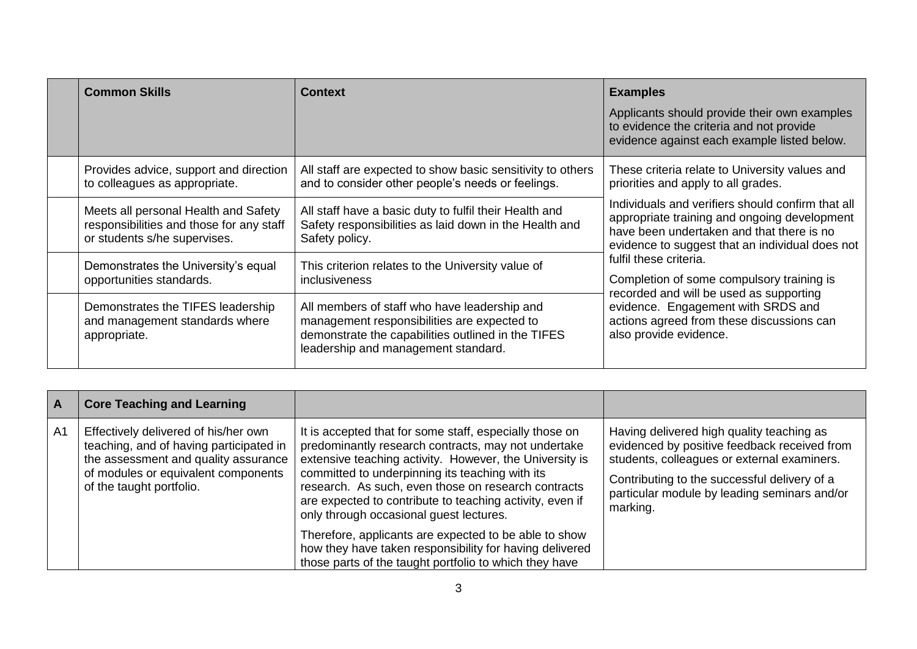| <b>Common Skills</b>                                                                                             | <b>Context</b>                                                                                                                                                                           | <b>Examples</b>                                                                                                                                                                                                                                                                                                                                                                                                                  |
|------------------------------------------------------------------------------------------------------------------|------------------------------------------------------------------------------------------------------------------------------------------------------------------------------------------|----------------------------------------------------------------------------------------------------------------------------------------------------------------------------------------------------------------------------------------------------------------------------------------------------------------------------------------------------------------------------------------------------------------------------------|
|                                                                                                                  |                                                                                                                                                                                          | Applicants should provide their own examples<br>to evidence the criteria and not provide<br>evidence against each example listed below.                                                                                                                                                                                                                                                                                          |
| Provides advice, support and direction<br>to colleagues as appropriate.                                          | All staff are expected to show basic sensitivity to others<br>and to consider other people's needs or feelings.                                                                          | These criteria relate to University values and<br>priorities and apply to all grades.                                                                                                                                                                                                                                                                                                                                            |
| Meets all personal Health and Safety<br>responsibilities and those for any staff<br>or students s/he supervises. | All staff have a basic duty to fulfil their Health and<br>Safety responsibilities as laid down in the Health and<br>Safety policy.                                                       | Individuals and verifiers should confirm that all<br>appropriate training and ongoing development<br>have been undertaken and that there is no<br>evidence to suggest that an individual does not<br>fulfil these criteria.<br>Completion of some compulsory training is<br>recorded and will be used as supporting<br>evidence. Engagement with SRDS and<br>actions agreed from these discussions can<br>also provide evidence. |
| Demonstrates the University's equal<br>opportunities standards.                                                  | This criterion relates to the University value of<br><i>inclusiveness</i>                                                                                                                |                                                                                                                                                                                                                                                                                                                                                                                                                                  |
| Demonstrates the TIFES leadership<br>and management standards where<br>appropriate.                              | All members of staff who have leadership and<br>management responsibilities are expected to<br>demonstrate the capabilities outlined in the TIFES<br>leadership and management standard. |                                                                                                                                                                                                                                                                                                                                                                                                                                  |

| $\overline{A}$ | <b>Core Teaching and Learning</b>                                                                                                                                                          |                                                                                                                                                                                                                                                                                                                                                                                            |                                                                                                                                                                                                                                                      |
|----------------|--------------------------------------------------------------------------------------------------------------------------------------------------------------------------------------------|--------------------------------------------------------------------------------------------------------------------------------------------------------------------------------------------------------------------------------------------------------------------------------------------------------------------------------------------------------------------------------------------|------------------------------------------------------------------------------------------------------------------------------------------------------------------------------------------------------------------------------------------------------|
| A1             | Effectively delivered of his/her own<br>teaching, and of having participated in<br>the assessment and quality assurance<br>of modules or equivalent components<br>of the taught portfolio. | It is accepted that for some staff, especially those on<br>predominantly research contracts, may not undertake<br>extensive teaching activity. However, the University is<br>committed to underpinning its teaching with its<br>research. As such, even those on research contracts<br>are expected to contribute to teaching activity, even if<br>only through occasional guest lectures. | Having delivered high quality teaching as<br>evidenced by positive feedback received from<br>students, colleagues or external examiners.<br>Contributing to the successful delivery of a<br>particular module by leading seminars and/or<br>marking. |
|                |                                                                                                                                                                                            | Therefore, applicants are expected to be able to show<br>how they have taken responsibility for having delivered<br>those parts of the taught portfolio to which they have                                                                                                                                                                                                                 |                                                                                                                                                                                                                                                      |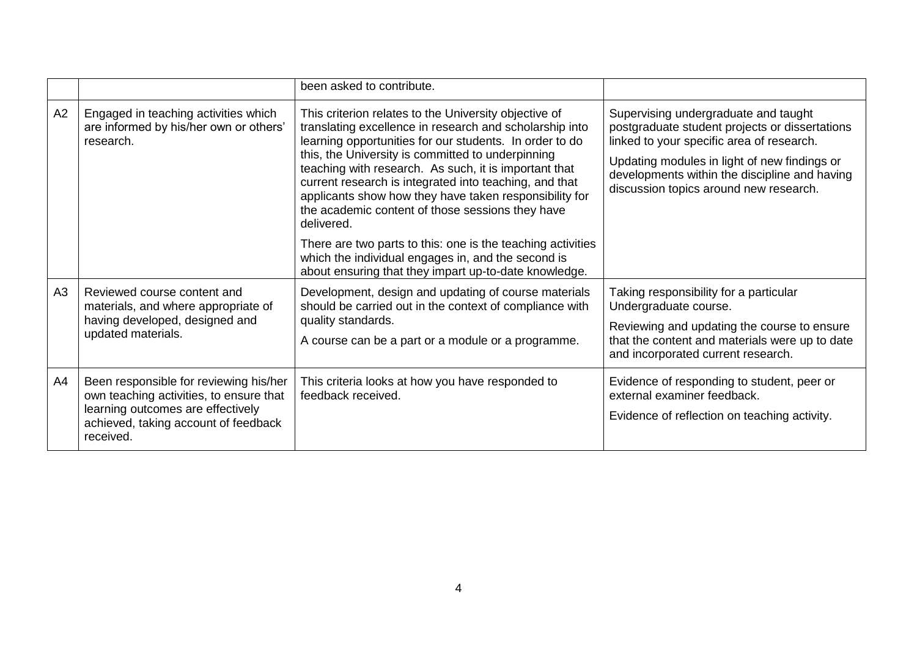|    |                                                                                                                                                                             | been asked to contribute.                                                                                                                                                                                                                                                                                                                                                                                                                                                                                                                                                                            |                                                                                                                                                                                                                                                                                |
|----|-----------------------------------------------------------------------------------------------------------------------------------------------------------------------------|------------------------------------------------------------------------------------------------------------------------------------------------------------------------------------------------------------------------------------------------------------------------------------------------------------------------------------------------------------------------------------------------------------------------------------------------------------------------------------------------------------------------------------------------------------------------------------------------------|--------------------------------------------------------------------------------------------------------------------------------------------------------------------------------------------------------------------------------------------------------------------------------|
| A2 | Engaged in teaching activities which<br>are informed by his/her own or others'<br>research.                                                                                 | This criterion relates to the University objective of<br>translating excellence in research and scholarship into<br>learning opportunities for our students. In order to do<br>this, the University is committed to underpinning<br>teaching with research. As such, it is important that<br>current research is integrated into teaching, and that<br>applicants show how they have taken responsibility for<br>the academic content of those sessions they have<br>delivered.<br>There are two parts to this: one is the teaching activities<br>which the individual engages in, and the second is | Supervising undergraduate and taught<br>postgraduate student projects or dissertations<br>linked to your specific area of research.<br>Updating modules in light of new findings or<br>developments within the discipline and having<br>discussion topics around new research. |
| A3 | Reviewed course content and<br>materials, and where appropriate of<br>having developed, designed and<br>updated materials.                                                  | about ensuring that they impart up-to-date knowledge.<br>Development, design and updating of course materials<br>should be carried out in the context of compliance with<br>quality standards.<br>A course can be a part or a module or a programme.                                                                                                                                                                                                                                                                                                                                                 | Taking responsibility for a particular<br>Undergraduate course.<br>Reviewing and updating the course to ensure<br>that the content and materials were up to date<br>and incorporated current research.                                                                         |
| A4 | Been responsible for reviewing his/her<br>own teaching activities, to ensure that<br>learning outcomes are effectively<br>achieved, taking account of feedback<br>received. | This criteria looks at how you have responded to<br>feedback received.                                                                                                                                                                                                                                                                                                                                                                                                                                                                                                                               | Evidence of responding to student, peer or<br>external examiner feedback.<br>Evidence of reflection on teaching activity.                                                                                                                                                      |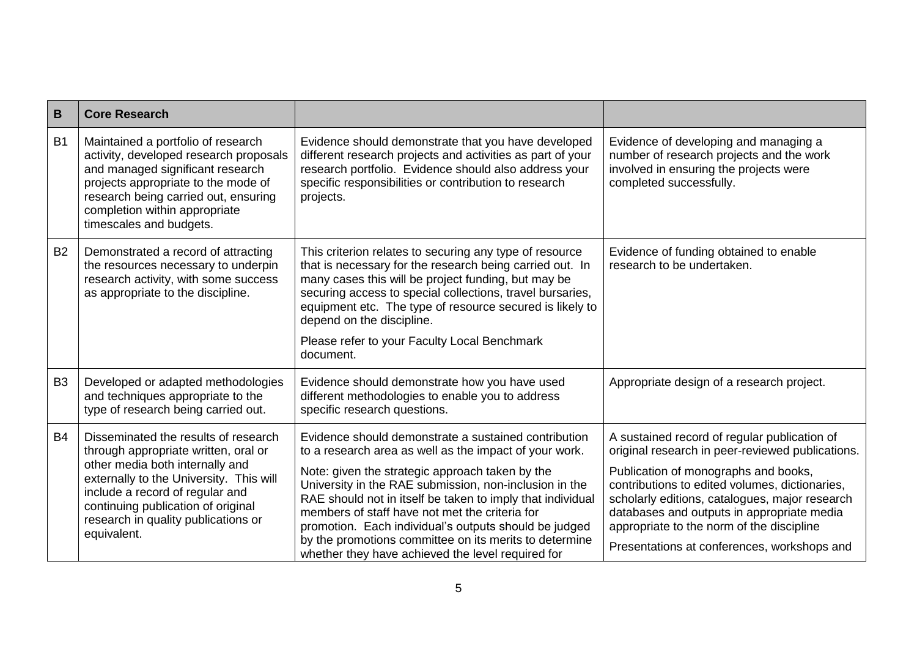| B              | <b>Core Research</b>                                                                                                                                                                                                                                                                      |                                                                                                                                                                                                                                                                                                                                                                                                                                                                                                                     |                                                                                                                                                                                                                                                                                                                                                                                        |
|----------------|-------------------------------------------------------------------------------------------------------------------------------------------------------------------------------------------------------------------------------------------------------------------------------------------|---------------------------------------------------------------------------------------------------------------------------------------------------------------------------------------------------------------------------------------------------------------------------------------------------------------------------------------------------------------------------------------------------------------------------------------------------------------------------------------------------------------------|----------------------------------------------------------------------------------------------------------------------------------------------------------------------------------------------------------------------------------------------------------------------------------------------------------------------------------------------------------------------------------------|
| B <sub>1</sub> | Maintained a portfolio of research<br>activity, developed research proposals<br>and managed significant research<br>projects appropriate to the mode of<br>research being carried out, ensuring<br>completion within appropriate<br>timescales and budgets.                               | Evidence should demonstrate that you have developed<br>different research projects and activities as part of your<br>research portfolio. Evidence should also address your<br>specific responsibilities or contribution to research<br>projects.                                                                                                                                                                                                                                                                    | Evidence of developing and managing a<br>number of research projects and the work<br>involved in ensuring the projects were<br>completed successfully.                                                                                                                                                                                                                                 |
| <b>B2</b>      | Demonstrated a record of attracting<br>the resources necessary to underpin<br>research activity, with some success<br>as appropriate to the discipline.                                                                                                                                   | This criterion relates to securing any type of resource<br>that is necessary for the research being carried out. In<br>many cases this will be project funding, but may be<br>securing access to special collections, travel bursaries,<br>equipment etc. The type of resource secured is likely to<br>depend on the discipline.<br>Please refer to your Faculty Local Benchmark<br>document.                                                                                                                       | Evidence of funding obtained to enable<br>research to be undertaken.                                                                                                                                                                                                                                                                                                                   |
| B <sub>3</sub> | Developed or adapted methodologies<br>and techniques appropriate to the<br>type of research being carried out.                                                                                                                                                                            | Evidence should demonstrate how you have used<br>different methodologies to enable you to address<br>specific research questions.                                                                                                                                                                                                                                                                                                                                                                                   | Appropriate design of a research project.                                                                                                                                                                                                                                                                                                                                              |
| <b>B4</b>      | Disseminated the results of research<br>through appropriate written, oral or<br>other media both internally and<br>externally to the University. This will<br>include a record of regular and<br>continuing publication of original<br>research in quality publications or<br>equivalent. | Evidence should demonstrate a sustained contribution<br>to a research area as well as the impact of your work.<br>Note: given the strategic approach taken by the<br>University in the RAE submission, non-inclusion in the<br>RAE should not in itself be taken to imply that individual<br>members of staff have not met the criteria for<br>promotion. Each individual's outputs should be judged<br>by the promotions committee on its merits to determine<br>whether they have achieved the level required for | A sustained record of regular publication of<br>original research in peer-reviewed publications.<br>Publication of monographs and books,<br>contributions to edited volumes, dictionaries,<br>scholarly editions, catalogues, major research<br>databases and outputs in appropriate media<br>appropriate to the norm of the discipline<br>Presentations at conferences, workshops and |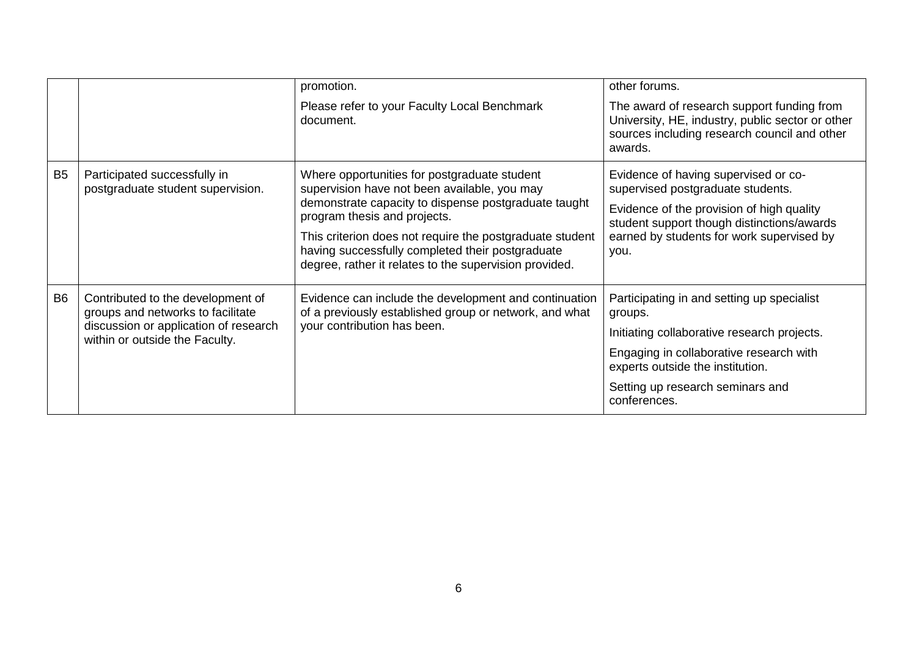|                |                                                                                                                                                   | promotion.                                                                                                                                                                                                                                                                                                                                                     | other forums.                                                                                                                                                                                                                           |
|----------------|---------------------------------------------------------------------------------------------------------------------------------------------------|----------------------------------------------------------------------------------------------------------------------------------------------------------------------------------------------------------------------------------------------------------------------------------------------------------------------------------------------------------------|-----------------------------------------------------------------------------------------------------------------------------------------------------------------------------------------------------------------------------------------|
|                |                                                                                                                                                   | Please refer to your Faculty Local Benchmark<br>document.                                                                                                                                                                                                                                                                                                      | The award of research support funding from<br>University, HE, industry, public sector or other<br>sources including research council and other<br>awards.                                                                               |
| B <sub>5</sub> | Participated successfully in<br>postgraduate student supervision.                                                                                 | Where opportunities for postgraduate student<br>supervision have not been available, you may<br>demonstrate capacity to dispense postgraduate taught<br>program thesis and projects.<br>This criterion does not require the postgraduate student<br>having successfully completed their postgraduate<br>degree, rather it relates to the supervision provided. | Evidence of having supervised or co-<br>supervised postgraduate students.<br>Evidence of the provision of high quality<br>student support though distinctions/awards<br>earned by students for work supervised by<br>you.               |
| B <sub>6</sub> | Contributed to the development of<br>groups and networks to facilitate<br>discussion or application of research<br>within or outside the Faculty. | Evidence can include the development and continuation<br>of a previously established group or network, and what<br>your contribution has been.                                                                                                                                                                                                                 | Participating in and setting up specialist<br>groups.<br>Initiating collaborative research projects.<br>Engaging in collaborative research with<br>experts outside the institution.<br>Setting up research seminars and<br>conferences. |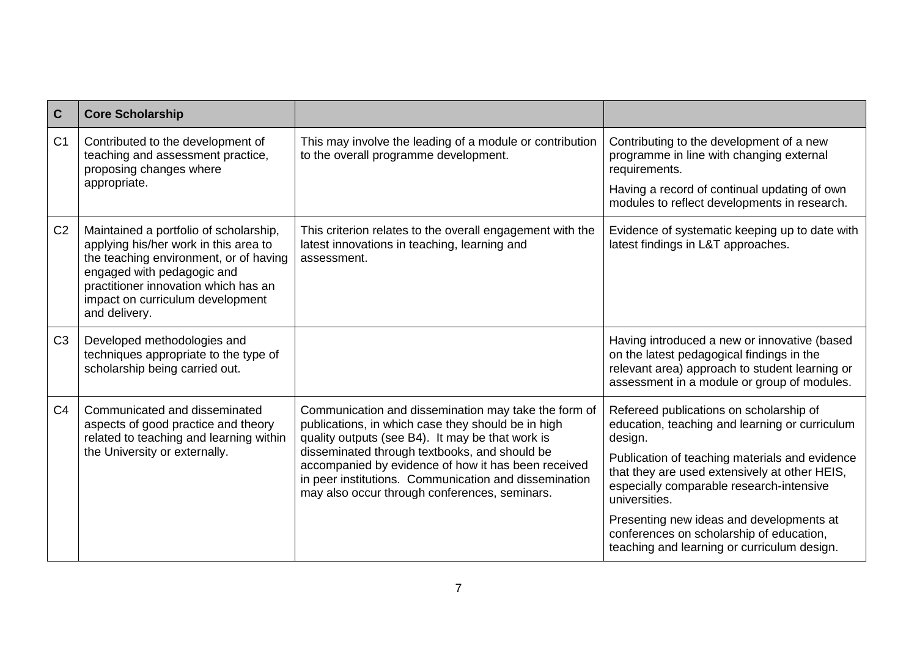| $\overline{c}$ | <b>Core Scholarship</b>                                                                                                                                                                                                                              |                                                                                                                                                                                                                                                                                                                                                                                  |                                                                                                                                                                                            |
|----------------|------------------------------------------------------------------------------------------------------------------------------------------------------------------------------------------------------------------------------------------------------|----------------------------------------------------------------------------------------------------------------------------------------------------------------------------------------------------------------------------------------------------------------------------------------------------------------------------------------------------------------------------------|--------------------------------------------------------------------------------------------------------------------------------------------------------------------------------------------|
| C <sub>1</sub> | Contributed to the development of<br>teaching and assessment practice,<br>proposing changes where                                                                                                                                                    | This may involve the leading of a module or contribution<br>to the overall programme development.                                                                                                                                                                                                                                                                                | Contributing to the development of a new<br>programme in line with changing external<br>requirements.                                                                                      |
|                | appropriate.                                                                                                                                                                                                                                         |                                                                                                                                                                                                                                                                                                                                                                                  | Having a record of continual updating of own<br>modules to reflect developments in research.                                                                                               |
| C <sub>2</sub> | Maintained a portfolio of scholarship,<br>applying his/her work in this area to<br>the teaching environment, or of having<br>engaged with pedagogic and<br>practitioner innovation which has an<br>impact on curriculum development<br>and delivery. | This criterion relates to the overall engagement with the<br>latest innovations in teaching, learning and<br>assessment.                                                                                                                                                                                                                                                         | Evidence of systematic keeping up to date with<br>latest findings in L&T approaches.                                                                                                       |
| C <sub>3</sub> | Developed methodologies and<br>techniques appropriate to the type of<br>scholarship being carried out.                                                                                                                                               |                                                                                                                                                                                                                                                                                                                                                                                  | Having introduced a new or innovative (based<br>on the latest pedagogical findings in the<br>relevant area) approach to student learning or<br>assessment in a module or group of modules. |
| C <sub>4</sub> | Communicated and disseminated<br>aspects of good practice and theory<br>related to teaching and learning within<br>the University or externally.                                                                                                     | Communication and dissemination may take the form of<br>publications, in which case they should be in high<br>quality outputs (see B4). It may be that work is<br>disseminated through textbooks, and should be<br>accompanied by evidence of how it has been received<br>in peer institutions. Communication and dissemination<br>may also occur through conferences, seminars. | Refereed publications on scholarship of<br>education, teaching and learning or curriculum<br>design.                                                                                       |
|                |                                                                                                                                                                                                                                                      |                                                                                                                                                                                                                                                                                                                                                                                  | Publication of teaching materials and evidence<br>that they are used extensively at other HEIS,<br>especially comparable research-intensive<br>universities.                               |
|                |                                                                                                                                                                                                                                                      |                                                                                                                                                                                                                                                                                                                                                                                  | Presenting new ideas and developments at<br>conferences on scholarship of education,<br>teaching and learning or curriculum design.                                                        |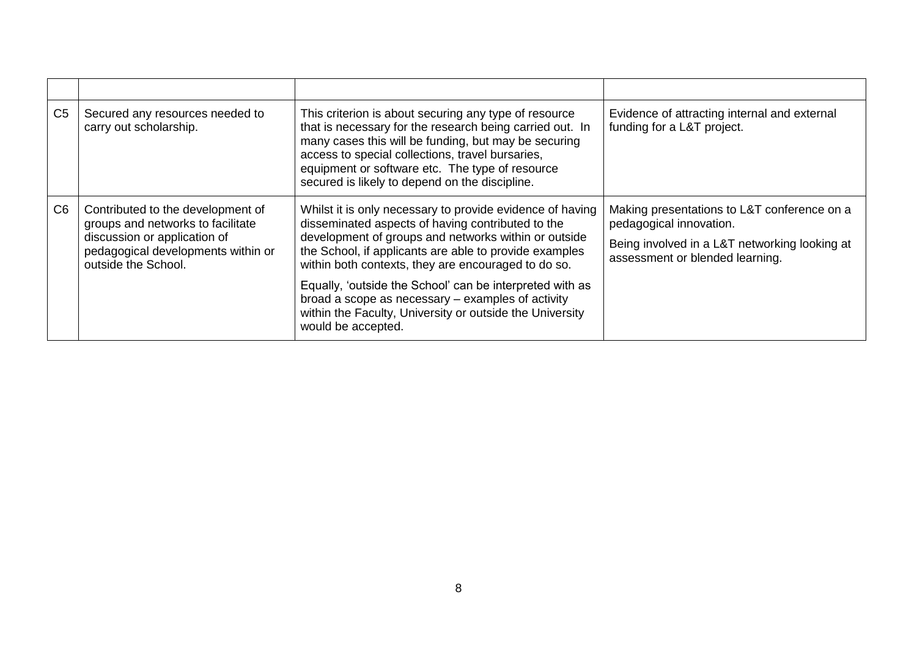| C <sub>5</sub> | Secured any resources needed to<br>carry out scholarship.                                                                                                           | This criterion is about securing any type of resource<br>that is necessary for the research being carried out. In<br>many cases this will be funding, but may be securing<br>access to special collections, travel bursaries,<br>equipment or software etc. The type of resource<br>secured is likely to depend on the discipline.                                                                                                                                                         | Evidence of attracting internal and external<br>funding for a L&T project.                                                                                 |
|----------------|---------------------------------------------------------------------------------------------------------------------------------------------------------------------|--------------------------------------------------------------------------------------------------------------------------------------------------------------------------------------------------------------------------------------------------------------------------------------------------------------------------------------------------------------------------------------------------------------------------------------------------------------------------------------------|------------------------------------------------------------------------------------------------------------------------------------------------------------|
| C <sub>6</sub> | Contributed to the development of<br>groups and networks to facilitate<br>discussion or application of<br>pedagogical developments within or<br>outside the School. | Whilst it is only necessary to provide evidence of having<br>disseminated aspects of having contributed to the<br>development of groups and networks within or outside<br>the School, if applicants are able to provide examples<br>within both contexts, they are encouraged to do so.<br>Equally, 'outside the School' can be interpreted with as<br>broad a scope as necessary – examples of activity<br>within the Faculty, University or outside the University<br>would be accepted. | Making presentations to L&T conference on a<br>pedagogical innovation.<br>Being involved in a L&T networking looking at<br>assessment or blended learning. |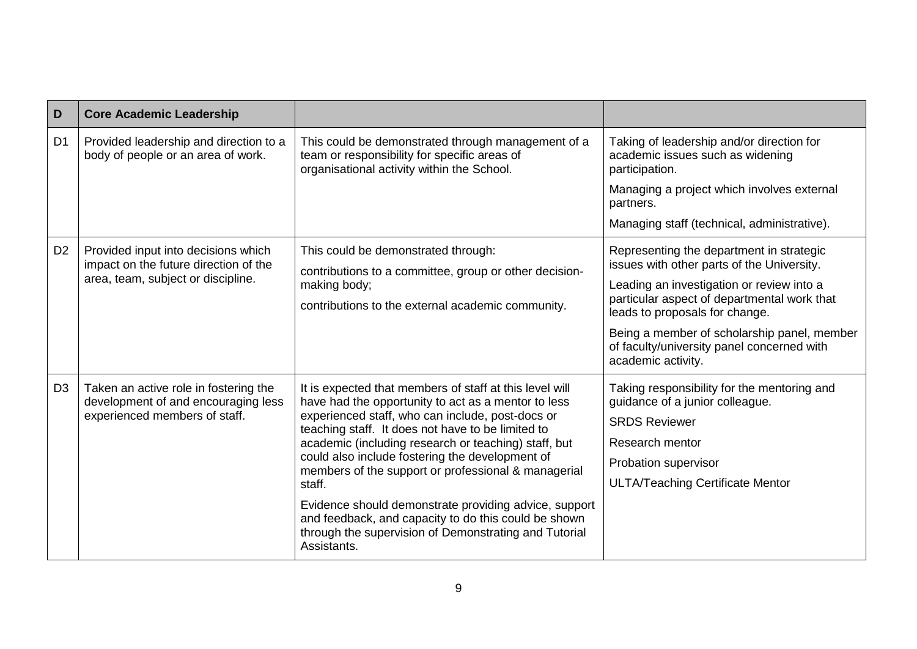| D              | <b>Core Academic Leadership</b>                                                                               |                                                                                                                                                                                                                                                                                 |                                                                                                                            |
|----------------|---------------------------------------------------------------------------------------------------------------|---------------------------------------------------------------------------------------------------------------------------------------------------------------------------------------------------------------------------------------------------------------------------------|----------------------------------------------------------------------------------------------------------------------------|
| D <sub>1</sub> | Provided leadership and direction to a<br>body of people or an area of work.                                  | This could be demonstrated through management of a<br>team or responsibility for specific areas of<br>organisational activity within the School.                                                                                                                                | Taking of leadership and/or direction for<br>academic issues such as widening<br>participation.                            |
|                |                                                                                                               |                                                                                                                                                                                                                                                                                 | Managing a project which involves external<br>partners.                                                                    |
|                |                                                                                                               |                                                                                                                                                                                                                                                                                 | Managing staff (technical, administrative).                                                                                |
| D <sub>2</sub> | Provided input into decisions which<br>impact on the future direction of the                                  | This could be demonstrated through:<br>contributions to a committee, group or other decision-                                                                                                                                                                                   | Representing the department in strategic<br>issues with other parts of the University.                                     |
|                | area, team, subject or discipline.                                                                            | making body;<br>contributions to the external academic community.                                                                                                                                                                                                               | Leading an investigation or review into a<br>particular aspect of departmental work that<br>leads to proposals for change. |
|                |                                                                                                               |                                                                                                                                                                                                                                                                                 | Being a member of scholarship panel, member<br>of faculty/university panel concerned with<br>academic activity.            |
| D <sub>3</sub> | Taken an active role in fostering the<br>development of and encouraging less<br>experienced members of staff. | It is expected that members of staff at this level will<br>have had the opportunity to act as a mentor to less<br>experienced staff, who can include, post-docs or<br>teaching staff. It does not have to be limited to<br>academic (including research or teaching) staff, but | Taking responsibility for the mentoring and<br>guidance of a junior colleague.                                             |
|                |                                                                                                               |                                                                                                                                                                                                                                                                                 | <b>SRDS Reviewer</b>                                                                                                       |
|                |                                                                                                               |                                                                                                                                                                                                                                                                                 | Research mentor                                                                                                            |
|                |                                                                                                               | could also include fostering the development of<br>members of the support or professional & managerial                                                                                                                                                                          | Probation supervisor                                                                                                       |
|                |                                                                                                               | staff.                                                                                                                                                                                                                                                                          | <b>ULTA/Teaching Certificate Mentor</b>                                                                                    |
|                |                                                                                                               | Evidence should demonstrate providing advice, support<br>and feedback, and capacity to do this could be shown<br>through the supervision of Demonstrating and Tutorial<br>Assistants.                                                                                           |                                                                                                                            |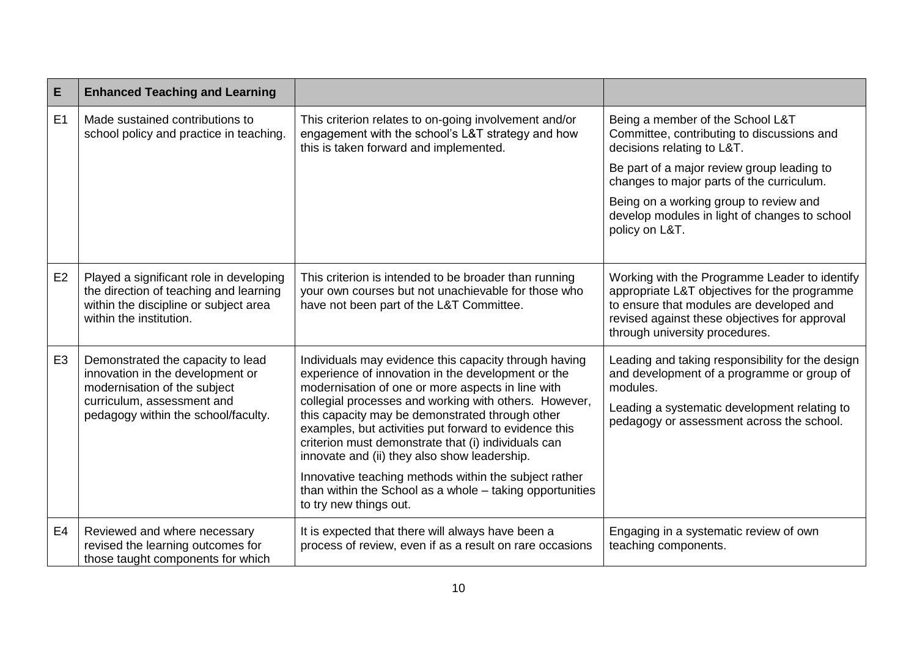| E              | <b>Enhanced Teaching and Learning</b>                                                                                                                                      |                                                                                                                                                                                                                                                                                                                                                                                                                                              |                                                                                                                                                                                                                              |
|----------------|----------------------------------------------------------------------------------------------------------------------------------------------------------------------------|----------------------------------------------------------------------------------------------------------------------------------------------------------------------------------------------------------------------------------------------------------------------------------------------------------------------------------------------------------------------------------------------------------------------------------------------|------------------------------------------------------------------------------------------------------------------------------------------------------------------------------------------------------------------------------|
| E1             | Made sustained contributions to<br>school policy and practice in teaching.                                                                                                 | This criterion relates to on-going involvement and/or<br>engagement with the school's L&T strategy and how<br>this is taken forward and implemented.                                                                                                                                                                                                                                                                                         | Being a member of the School L&T<br>Committee, contributing to discussions and<br>decisions relating to L&T.                                                                                                                 |
|                |                                                                                                                                                                            |                                                                                                                                                                                                                                                                                                                                                                                                                                              | Be part of a major review group leading to<br>changes to major parts of the curriculum.                                                                                                                                      |
|                |                                                                                                                                                                            |                                                                                                                                                                                                                                                                                                                                                                                                                                              | Being on a working group to review and<br>develop modules in light of changes to school<br>policy on L&T.                                                                                                                    |
| E <sub>2</sub> | Played a significant role in developing<br>the direction of teaching and learning<br>within the discipline or subject area<br>within the institution.                      | This criterion is intended to be broader than running<br>your own courses but not unachievable for those who<br>have not been part of the L&T Committee.                                                                                                                                                                                                                                                                                     | Working with the Programme Leader to identify<br>appropriate L&T objectives for the programme<br>to ensure that modules are developed and<br>revised against these objectives for approval<br>through university procedures. |
| E <sub>3</sub> | Demonstrated the capacity to lead<br>innovation in the development or<br>modernisation of the subject<br>curriculum, assessment and<br>pedagogy within the school/faculty. | Individuals may evidence this capacity through having<br>experience of innovation in the development or the<br>modernisation of one or more aspects in line with<br>collegial processes and working with others. However,<br>this capacity may be demonstrated through other<br>examples, but activities put forward to evidence this<br>criterion must demonstrate that (i) individuals can<br>innovate and (ii) they also show leadership. | Leading and taking responsibility for the design<br>and development of a programme or group of<br>modules.<br>Leading a systematic development relating to<br>pedagogy or assessment across the school.                      |
|                |                                                                                                                                                                            | Innovative teaching methods within the subject rather<br>than within the School as a whole - taking opportunities<br>to try new things out.                                                                                                                                                                                                                                                                                                  |                                                                                                                                                                                                                              |
| E <sub>4</sub> | Reviewed and where necessary<br>revised the learning outcomes for<br>those taught components for which                                                                     | It is expected that there will always have been a<br>process of review, even if as a result on rare occasions                                                                                                                                                                                                                                                                                                                                | Engaging in a systematic review of own<br>teaching components.                                                                                                                                                               |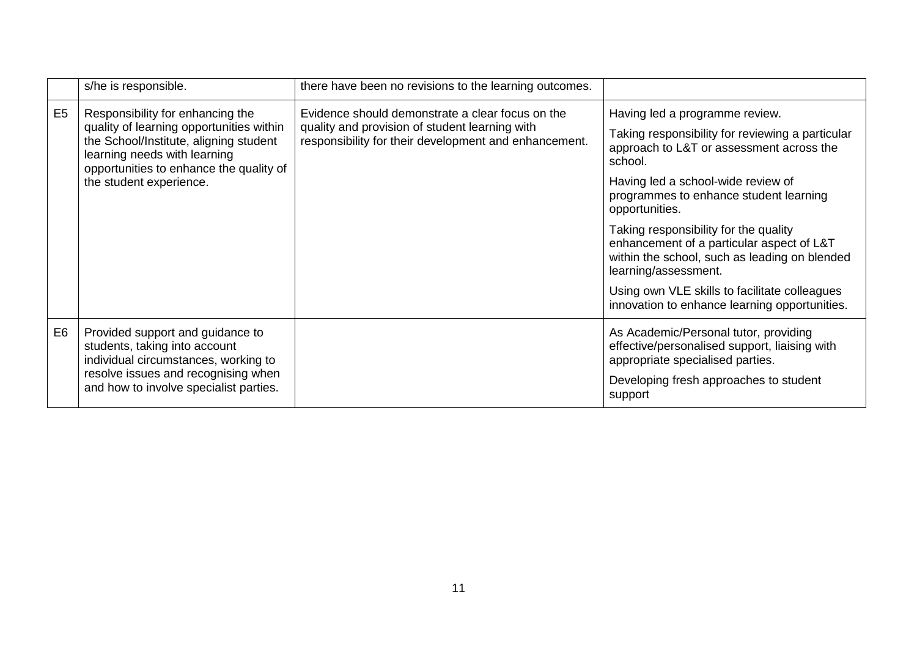|                | s/he is responsible.                                                                                                                                                                                                         | there have been no revisions to the learning outcomes.                                                                                                      |                                                                                                                                                                                                                                                                                                                                                                                                                                                                                                              |
|----------------|------------------------------------------------------------------------------------------------------------------------------------------------------------------------------------------------------------------------------|-------------------------------------------------------------------------------------------------------------------------------------------------------------|--------------------------------------------------------------------------------------------------------------------------------------------------------------------------------------------------------------------------------------------------------------------------------------------------------------------------------------------------------------------------------------------------------------------------------------------------------------------------------------------------------------|
| E <sub>5</sub> | Responsibility for enhancing the<br>quality of learning opportunities within<br>the School/Institute, aligning student<br>learning needs with learning<br>opportunities to enhance the quality of<br>the student experience. | Evidence should demonstrate a clear focus on the<br>quality and provision of student learning with<br>responsibility for their development and enhancement. | Having led a programme review.<br>Taking responsibility for reviewing a particular<br>approach to L&T or assessment across the<br>school.<br>Having led a school-wide review of<br>programmes to enhance student learning<br>opportunities.<br>Taking responsibility for the quality<br>enhancement of a particular aspect of L&T<br>within the school, such as leading on blended<br>learning/assessment.<br>Using own VLE skills to facilitate colleagues<br>innovation to enhance learning opportunities. |
| E <sub>6</sub> | Provided support and guidance to<br>students, taking into account<br>individual circumstances, working to<br>resolve issues and recognising when<br>and how to involve specialist parties.                                   |                                                                                                                                                             | As Academic/Personal tutor, providing<br>effective/personalised support, liaising with<br>appropriate specialised parties.<br>Developing fresh approaches to student<br>support                                                                                                                                                                                                                                                                                                                              |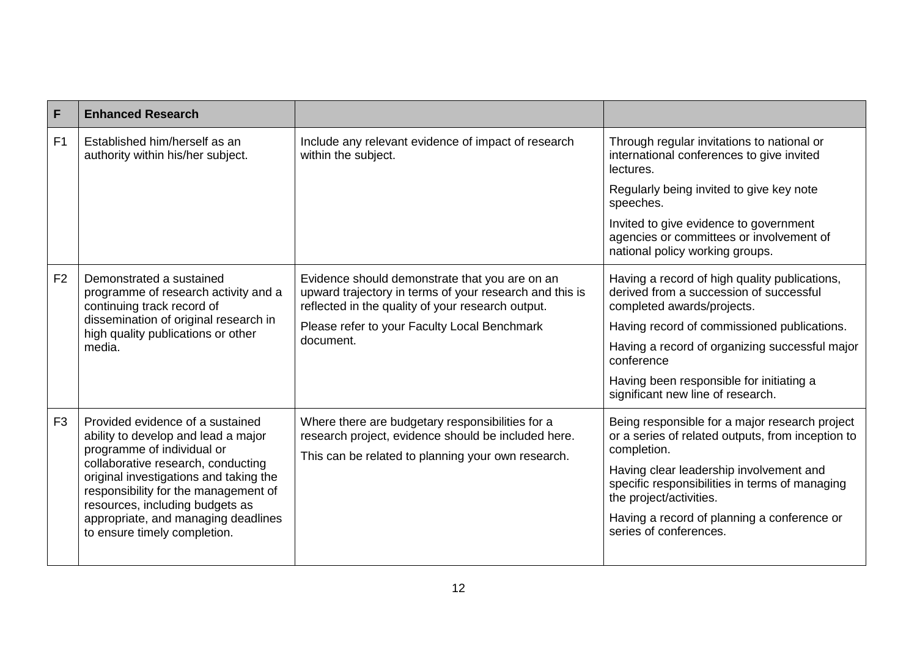| F              | <b>Enhanced Research</b>                                                                                                                                                                                                                                         |                                                                                                                                                                |                                                                                                                        |
|----------------|------------------------------------------------------------------------------------------------------------------------------------------------------------------------------------------------------------------------------------------------------------------|----------------------------------------------------------------------------------------------------------------------------------------------------------------|------------------------------------------------------------------------------------------------------------------------|
| F <sub>1</sub> | Established him/herself as an<br>authority within his/her subject.                                                                                                                                                                                               | Include any relevant evidence of impact of research<br>within the subject.                                                                                     | Through regular invitations to national or<br>international conferences to give invited<br>lectures.                   |
|                |                                                                                                                                                                                                                                                                  |                                                                                                                                                                | Regularly being invited to give key note<br>speeches.                                                                  |
|                |                                                                                                                                                                                                                                                                  |                                                                                                                                                                | Invited to give evidence to government<br>agencies or committees or involvement of<br>national policy working groups.  |
| F <sub>2</sub> | Demonstrated a sustained<br>programme of research activity and a<br>continuing track record of                                                                                                                                                                   | Evidence should demonstrate that you are on an<br>upward trajectory in terms of your research and this is<br>reflected in the quality of your research output. | Having a record of high quality publications,<br>derived from a succession of successful<br>completed awards/projects. |
|                | dissemination of original research in<br>high quality publications or other<br>media.                                                                                                                                                                            | Please refer to your Faculty Local Benchmark<br>document.                                                                                                      | Having record of commissioned publications.                                                                            |
|                |                                                                                                                                                                                                                                                                  |                                                                                                                                                                | Having a record of organizing successful major<br>conference                                                           |
|                |                                                                                                                                                                                                                                                                  |                                                                                                                                                                | Having been responsible for initiating a<br>significant new line of research.                                          |
| F <sub>3</sub> | Provided evidence of a sustained<br>ability to develop and lead a major<br>programme of individual or<br>collaborative research, conducting<br>original investigations and taking the<br>responsibility for the management of<br>resources, including budgets as | Where there are budgetary responsibilities for a<br>research project, evidence should be included here.<br>This can be related to planning your own research.  | Being responsible for a major research project<br>or a series of related outputs, from inception to<br>completion.     |
|                |                                                                                                                                                                                                                                                                  |                                                                                                                                                                | Having clear leadership involvement and<br>specific responsibilities in terms of managing<br>the project/activities.   |
|                | appropriate, and managing deadlines<br>to ensure timely completion.                                                                                                                                                                                              |                                                                                                                                                                | Having a record of planning a conference or<br>series of conferences.                                                  |
|                |                                                                                                                                                                                                                                                                  |                                                                                                                                                                |                                                                                                                        |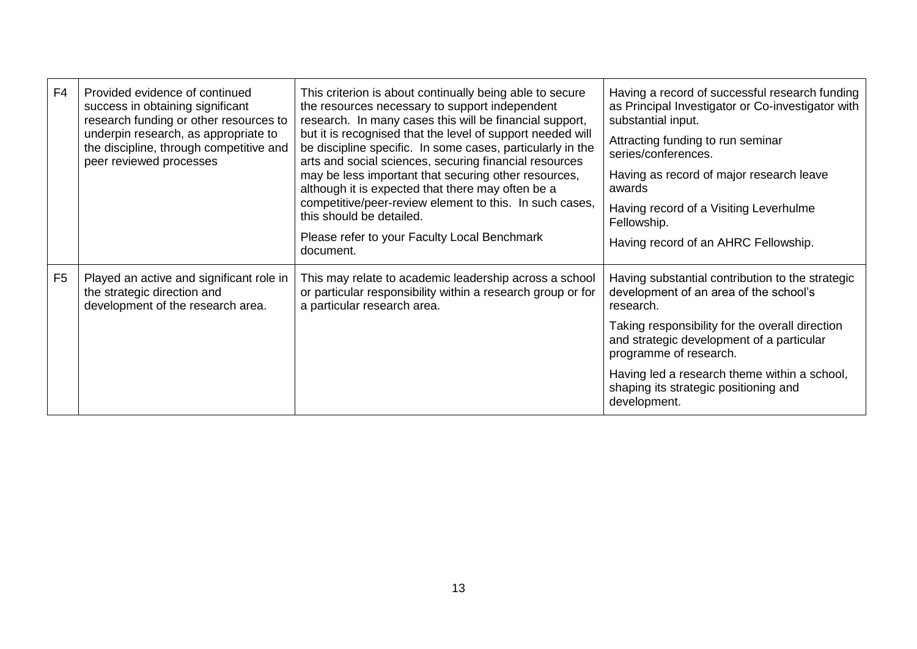| F <sub>4</sub> | Provided evidence of continued<br>success in obtaining significant<br>research funding or other resources to<br>underpin research, as appropriate to<br>the discipline, through competitive and<br>peer reviewed processes | This criterion is about continually being able to secure<br>the resources necessary to support independent<br>research. In many cases this will be financial support,<br>but it is recognised that the level of support needed will<br>be discipline specific. In some cases, particularly in the<br>arts and social sciences, securing financial resources<br>may be less important that securing other resources,<br>although it is expected that there may often be a<br>competitive/peer-review element to this. In such cases,<br>this should be detailed.<br>Please refer to your Faculty Local Benchmark<br>document. | Having a record of successful research funding<br>as Principal Investigator or Co-investigator with<br>substantial input.<br>Attracting funding to run seminar<br>series/conferences.<br>Having as record of major research leave<br>awards<br>Having record of a Visiting Leverhulme<br>Fellowship.<br>Having record of an AHRC Fellowship. |
|----------------|----------------------------------------------------------------------------------------------------------------------------------------------------------------------------------------------------------------------------|------------------------------------------------------------------------------------------------------------------------------------------------------------------------------------------------------------------------------------------------------------------------------------------------------------------------------------------------------------------------------------------------------------------------------------------------------------------------------------------------------------------------------------------------------------------------------------------------------------------------------|----------------------------------------------------------------------------------------------------------------------------------------------------------------------------------------------------------------------------------------------------------------------------------------------------------------------------------------------|
| F <sub>5</sub> | Played an active and significant role in<br>the strategic direction and<br>development of the research area.                                                                                                               | This may relate to academic leadership across a school<br>or particular responsibility within a research group or for<br>a particular research area.                                                                                                                                                                                                                                                                                                                                                                                                                                                                         | Having substantial contribution to the strategic<br>development of an area of the school's<br>research.<br>Taking responsibility for the overall direction<br>and strategic development of a particular<br>programme of research.                                                                                                            |
|                |                                                                                                                                                                                                                            |                                                                                                                                                                                                                                                                                                                                                                                                                                                                                                                                                                                                                              | Having led a research theme within a school,<br>shaping its strategic positioning and<br>development.                                                                                                                                                                                                                                        |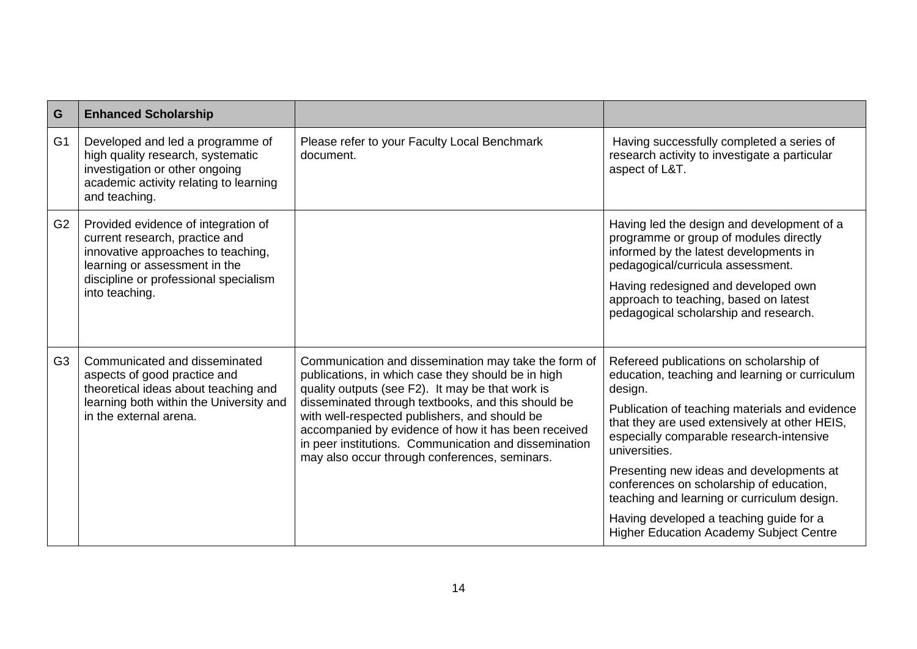| G              | <b>Enhanced Scholarship</b>                                                                                                                                                                             |                                                                                                                                                                                                                                                                                                                                                                                                                                        |                                                                                                                                                                                                                                                                                                                                                                                                                                                                                                          |
|----------------|---------------------------------------------------------------------------------------------------------------------------------------------------------------------------------------------------------|----------------------------------------------------------------------------------------------------------------------------------------------------------------------------------------------------------------------------------------------------------------------------------------------------------------------------------------------------------------------------------------------------------------------------------------|----------------------------------------------------------------------------------------------------------------------------------------------------------------------------------------------------------------------------------------------------------------------------------------------------------------------------------------------------------------------------------------------------------------------------------------------------------------------------------------------------------|
| G <sub>1</sub> | Developed and led a programme of<br>high quality research, systematic<br>investigation or other ongoing<br>academic activity relating to learning<br>and teaching.                                      | Please refer to your Faculty Local Benchmark<br>document.                                                                                                                                                                                                                                                                                                                                                                              | Having successfully completed a series of<br>research activity to investigate a particular<br>aspect of L&T.                                                                                                                                                                                                                                                                                                                                                                                             |
| G <sub>2</sub> | Provided evidence of integration of<br>current research, practice and<br>innovative approaches to teaching,<br>learning or assessment in the<br>discipline or professional specialism<br>into teaching. |                                                                                                                                                                                                                                                                                                                                                                                                                                        | Having led the design and development of a<br>programme or group of modules directly<br>informed by the latest developments in<br>pedagogical/curricula assessment.<br>Having redesigned and developed own<br>approach to teaching, based on latest<br>pedagogical scholarship and research.                                                                                                                                                                                                             |
| G <sub>3</sub> | Communicated and disseminated<br>aspects of good practice and<br>theoretical ideas about teaching and<br>learning both within the University and<br>in the external arena.                              | Communication and dissemination may take the form of<br>publications, in which case they should be in high<br>quality outputs (see F2). It may be that work is<br>disseminated through textbooks, and this should be<br>with well-respected publishers, and should be<br>accompanied by evidence of how it has been received<br>in peer institutions. Communication and dissemination<br>may also occur through conferences, seminars. | Refereed publications on scholarship of<br>education, teaching and learning or curriculum<br>design.<br>Publication of teaching materials and evidence<br>that they are used extensively at other HEIS,<br>especially comparable research-intensive<br>universities.<br>Presenting new ideas and developments at<br>conferences on scholarship of education,<br>teaching and learning or curriculum design.<br>Having developed a teaching guide for a<br><b>Higher Education Academy Subject Centre</b> |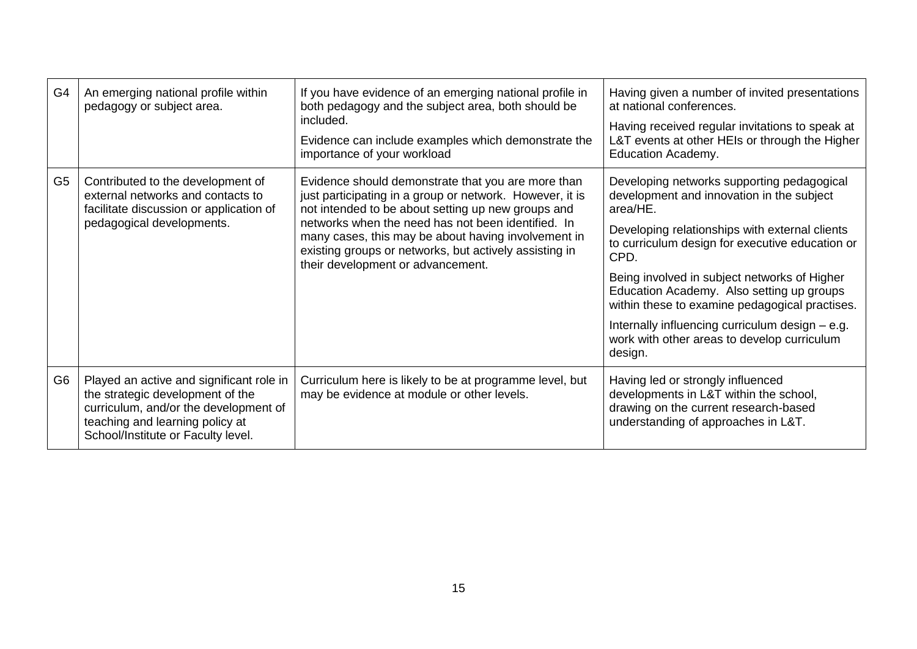| G <sub>4</sub> | An emerging national profile within<br>pedagogy or subject area.                                                                                                                               | If you have evidence of an emerging national profile in<br>both pedagogy and the subject area, both should be<br>included.<br>Evidence can include examples which demonstrate the<br>importance of your workload                                                                                                                                                                 | Having given a number of invited presentations<br>at national conferences.<br>Having received regular invitations to speak at<br>L&T events at other HEIs or through the Higher<br><b>Education Academy.</b>                                                                                                                                                                                                                                                                 |
|----------------|------------------------------------------------------------------------------------------------------------------------------------------------------------------------------------------------|----------------------------------------------------------------------------------------------------------------------------------------------------------------------------------------------------------------------------------------------------------------------------------------------------------------------------------------------------------------------------------|------------------------------------------------------------------------------------------------------------------------------------------------------------------------------------------------------------------------------------------------------------------------------------------------------------------------------------------------------------------------------------------------------------------------------------------------------------------------------|
| G <sub>5</sub> | Contributed to the development of<br>external networks and contacts to<br>facilitate discussion or application of<br>pedagogical developments.                                                 | Evidence should demonstrate that you are more than<br>just participating in a group or network. However, it is<br>not intended to be about setting up new groups and<br>networks when the need has not been identified. In<br>many cases, this may be about having involvement in<br>existing groups or networks, but actively assisting in<br>their development or advancement. | Developing networks supporting pedagogical<br>development and innovation in the subject<br>area/HE.<br>Developing relationships with external clients<br>to curriculum design for executive education or<br>CPD.<br>Being involved in subject networks of Higher<br>Education Academy. Also setting up groups<br>within these to examine pedagogical practises.<br>Internally influencing curriculum design - e.g.<br>work with other areas to develop curriculum<br>design. |
| G <sub>6</sub> | Played an active and significant role in<br>the strategic development of the<br>curriculum, and/or the development of<br>teaching and learning policy at<br>School/Institute or Faculty level. | Curriculum here is likely to be at programme level, but<br>may be evidence at module or other levels.                                                                                                                                                                                                                                                                            | Having led or strongly influenced<br>developments in L&T within the school,<br>drawing on the current research-based<br>understanding of approaches in L&T.                                                                                                                                                                                                                                                                                                                  |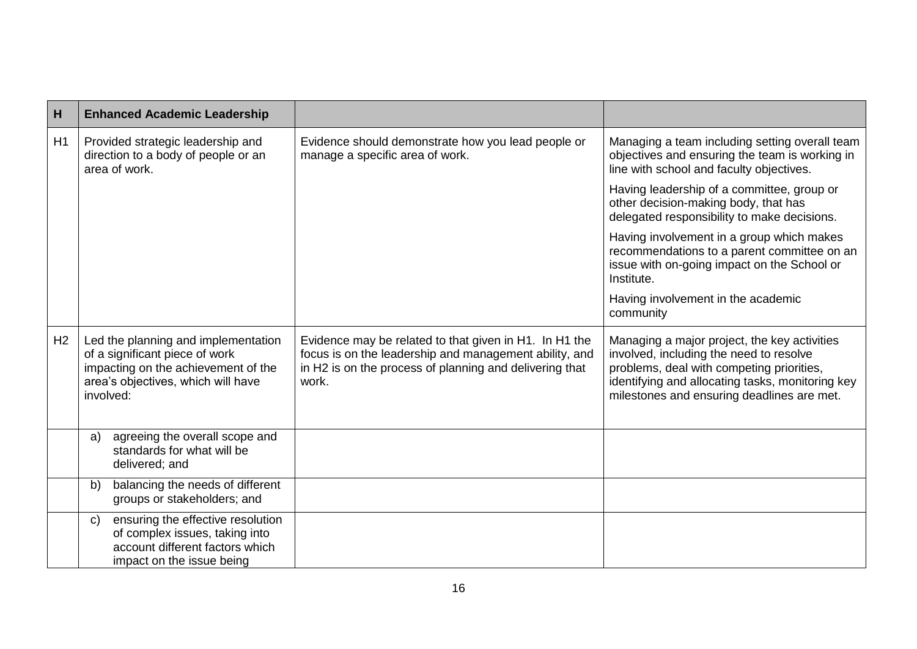| $\vert$ H      | <b>Enhanced Academic Leadership</b>                                                                                                                             |                                                                                                                                                                                      |                                                                                                                                                                                                                                        |
|----------------|-----------------------------------------------------------------------------------------------------------------------------------------------------------------|--------------------------------------------------------------------------------------------------------------------------------------------------------------------------------------|----------------------------------------------------------------------------------------------------------------------------------------------------------------------------------------------------------------------------------------|
| H1             | Provided strategic leadership and<br>direction to a body of people or an<br>area of work.                                                                       | Evidence should demonstrate how you lead people or<br>manage a specific area of work.                                                                                                | Managing a team including setting overall team<br>objectives and ensuring the team is working in<br>line with school and faculty objectives.                                                                                           |
|                |                                                                                                                                                                 |                                                                                                                                                                                      | Having leadership of a committee, group or<br>other decision-making body, that has<br>delegated responsibility to make decisions.                                                                                                      |
|                |                                                                                                                                                                 |                                                                                                                                                                                      | Having involvement in a group which makes<br>recommendations to a parent committee on an<br>issue with on-going impact on the School or<br>Institute.                                                                                  |
|                |                                                                                                                                                                 |                                                                                                                                                                                      | Having involvement in the academic<br>community                                                                                                                                                                                        |
| H <sub>2</sub> | Led the planning and implementation<br>of a significant piece of work<br>impacting on the achievement of the<br>area's objectives, which will have<br>involved: | Evidence may be related to that given in H1. In H1 the<br>focus is on the leadership and management ability, and<br>in H2 is on the process of planning and delivering that<br>work. | Managing a major project, the key activities<br>involved, including the need to resolve<br>problems, deal with competing priorities,<br>identifying and allocating tasks, monitoring key<br>milestones and ensuring deadlines are met. |
|                | agreeing the overall scope and<br>a)<br>standards for what will be<br>delivered; and                                                                            |                                                                                                                                                                                      |                                                                                                                                                                                                                                        |
|                | balancing the needs of different<br>b)<br>groups or stakeholders; and                                                                                           |                                                                                                                                                                                      |                                                                                                                                                                                                                                        |
|                | ensuring the effective resolution<br>$\mathsf{C}$<br>of complex issues, taking into<br>account different factors which<br>impact on the issue being             |                                                                                                                                                                                      |                                                                                                                                                                                                                                        |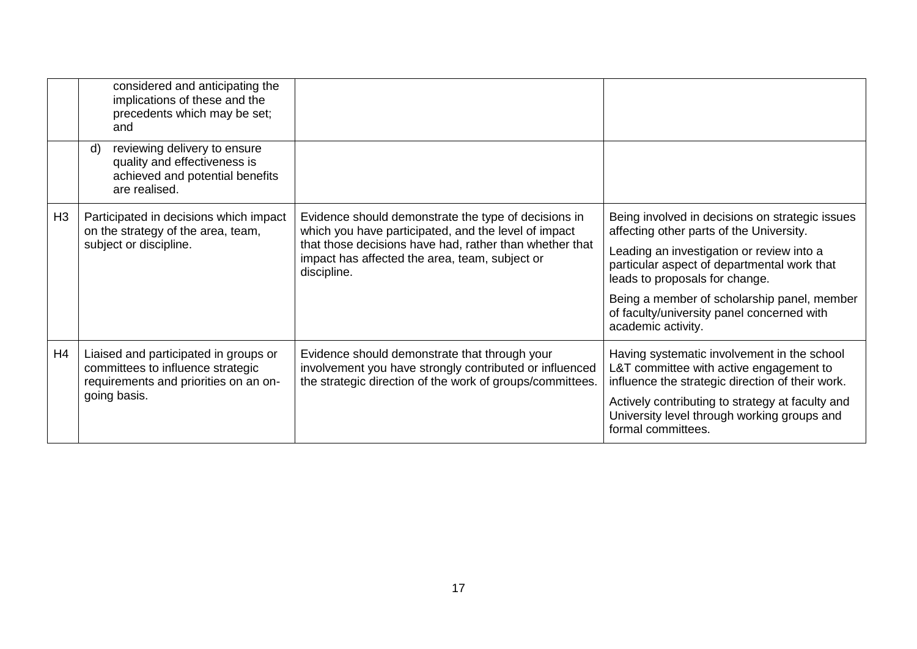|                | considered and anticipating the<br>implications of these and the<br>precedents which may be set;<br>and                |                                                                                                                                                                                                                                          |                                                                                                                                            |
|----------------|------------------------------------------------------------------------------------------------------------------------|------------------------------------------------------------------------------------------------------------------------------------------------------------------------------------------------------------------------------------------|--------------------------------------------------------------------------------------------------------------------------------------------|
|                | reviewing delivery to ensure<br>d)<br>quality and effectiveness is<br>achieved and potential benefits<br>are realised. |                                                                                                                                                                                                                                          |                                                                                                                                            |
| H <sub>3</sub> | Participated in decisions which impact<br>on the strategy of the area, team,<br>subject or discipline.                 | Evidence should demonstrate the type of decisions in<br>which you have participated, and the level of impact<br>that those decisions have had, rather than whether that<br>impact has affected the area, team, subject or<br>discipline. | Being involved in decisions on strategic issues<br>affecting other parts of the University.                                                |
|                |                                                                                                                        |                                                                                                                                                                                                                                          | Leading an investigation or review into a<br>particular aspect of departmental work that<br>leads to proposals for change.                 |
|                |                                                                                                                        |                                                                                                                                                                                                                                          | Being a member of scholarship panel, member<br>of faculty/university panel concerned with<br>academic activity.                            |
| H4             | Liaised and participated in groups or<br>committees to influence strategic<br>requirements and priorities on an on-    | Evidence should demonstrate that through your<br>involvement you have strongly contributed or influenced<br>the strategic direction of the work of groups/committees.                                                                    | Having systematic involvement in the school<br>L&T committee with active engagement to<br>influence the strategic direction of their work. |
|                | going basis.                                                                                                           |                                                                                                                                                                                                                                          | Actively contributing to strategy at faculty and<br>University level through working groups and<br>formal committees.                      |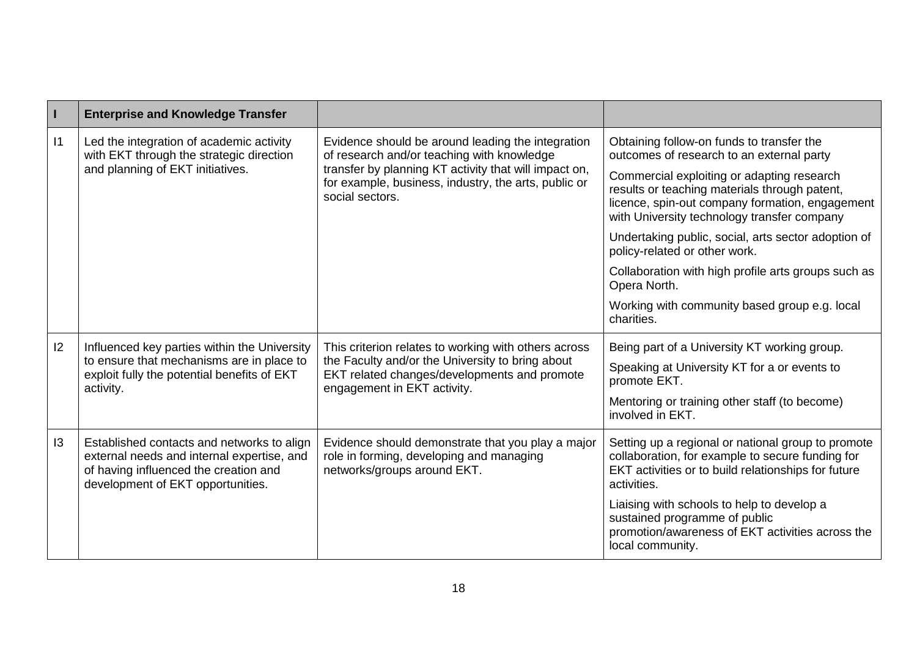| $\vert$ 1 | <b>Enterprise and Knowledge Transfer</b>                                                                                                                               |                                                                                                                                                                                                                                     |                                                                                                                                                                                               |
|-----------|------------------------------------------------------------------------------------------------------------------------------------------------------------------------|-------------------------------------------------------------------------------------------------------------------------------------------------------------------------------------------------------------------------------------|-----------------------------------------------------------------------------------------------------------------------------------------------------------------------------------------------|
| $\vert$ 1 | Led the integration of academic activity<br>with EKT through the strategic direction<br>and planning of EKT initiatives.                                               | Evidence should be around leading the integration<br>of research and/or teaching with knowledge<br>transfer by planning KT activity that will impact on,<br>for example, business, industry, the arts, public or<br>social sectors. | Obtaining follow-on funds to transfer the<br>outcomes of research to an external party                                                                                                        |
|           |                                                                                                                                                                        |                                                                                                                                                                                                                                     | Commercial exploiting or adapting research<br>results or teaching materials through patent,<br>licence, spin-out company formation, engagement<br>with University technology transfer company |
|           |                                                                                                                                                                        |                                                                                                                                                                                                                                     | Undertaking public, social, arts sector adoption of<br>policy-related or other work.                                                                                                          |
|           |                                                                                                                                                                        |                                                                                                                                                                                                                                     | Collaboration with high profile arts groups such as<br>Opera North.                                                                                                                           |
|           |                                                                                                                                                                        |                                                                                                                                                                                                                                     | Working with community based group e.g. local<br>charities.                                                                                                                                   |
| 12        | Influenced key parties within the University                                                                                                                           | This criterion relates to working with others across<br>the Faculty and/or the University to bring about<br>EKT related changes/developments and promote<br>engagement in EKT activity.                                             | Being part of a University KT working group.                                                                                                                                                  |
|           | to ensure that mechanisms are in place to<br>exploit fully the potential benefits of EKT<br>activity.                                                                  |                                                                                                                                                                                                                                     | Speaking at University KT for a or events to<br>promote EKT.                                                                                                                                  |
|           |                                                                                                                                                                        |                                                                                                                                                                                                                                     | Mentoring or training other staff (to become)<br>involved in EKT.                                                                                                                             |
| 13        | Established contacts and networks to align<br>external needs and internal expertise, and<br>of having influenced the creation and<br>development of EKT opportunities. | Evidence should demonstrate that you play a major<br>role in forming, developing and managing<br>networks/groups around EKT.                                                                                                        | Setting up a regional or national group to promote<br>collaboration, for example to secure funding for<br>EKT activities or to build relationships for future<br>activities.                  |
|           |                                                                                                                                                                        |                                                                                                                                                                                                                                     | Liaising with schools to help to develop a<br>sustained programme of public<br>promotion/awareness of EKT activities across the<br>local community.                                           |